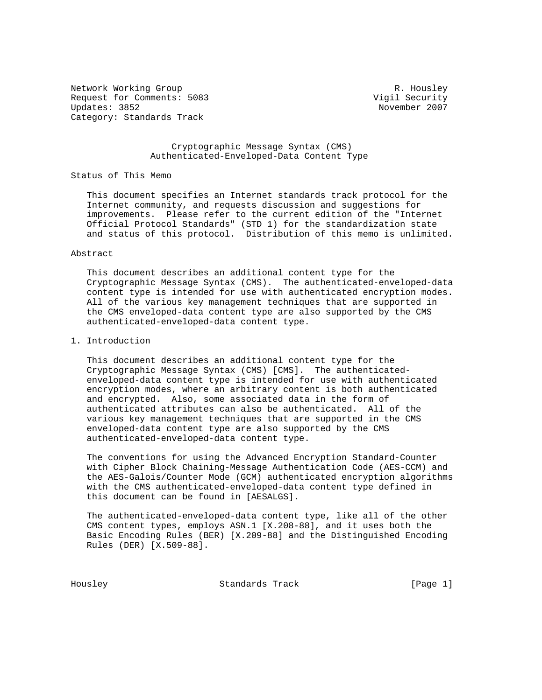Network Working Group Network Working Group Network R. Housley Request for Comments: 5083 Vigil Security Updates: 3852 Category: Standards Track

### Cryptographic Message Syntax (CMS) Authenticated-Enveloped-Data Content Type

### Status of This Memo

 This document specifies an Internet standards track protocol for the Internet community, and requests discussion and suggestions for improvements. Please refer to the current edition of the "Internet Official Protocol Standards" (STD 1) for the standardization state and status of this protocol. Distribution of this memo is unlimited.

#### Abstract

 This document describes an additional content type for the Cryptographic Message Syntax (CMS). The authenticated-enveloped-data content type is intended for use with authenticated encryption modes. All of the various key management techniques that are supported in the CMS enveloped-data content type are also supported by the CMS authenticated-enveloped-data content type.

# 1. Introduction

 This document describes an additional content type for the Cryptographic Message Syntax (CMS) [CMS]. The authenticated enveloped-data content type is intended for use with authenticated encryption modes, where an arbitrary content is both authenticated and encrypted. Also, some associated data in the form of authenticated attributes can also be authenticated. All of the various key management techniques that are supported in the CMS enveloped-data content type are also supported by the CMS authenticated-enveloped-data content type.

 The conventions for using the Advanced Encryption Standard-Counter with Cipher Block Chaining-Message Authentication Code (AES-CCM) and the AES-Galois/Counter Mode (GCM) authenticated encryption algorithms with the CMS authenticated-enveloped-data content type defined in this document can be found in [AESALGS].

 The authenticated-enveloped-data content type, like all of the other CMS content types, employs ASN.1 [X.208-88], and it uses both the Basic Encoding Rules (BER) [X.209-88] and the Distinguished Encoding Rules (DER) [X.509-88].

Housley Standards Track [Page 1]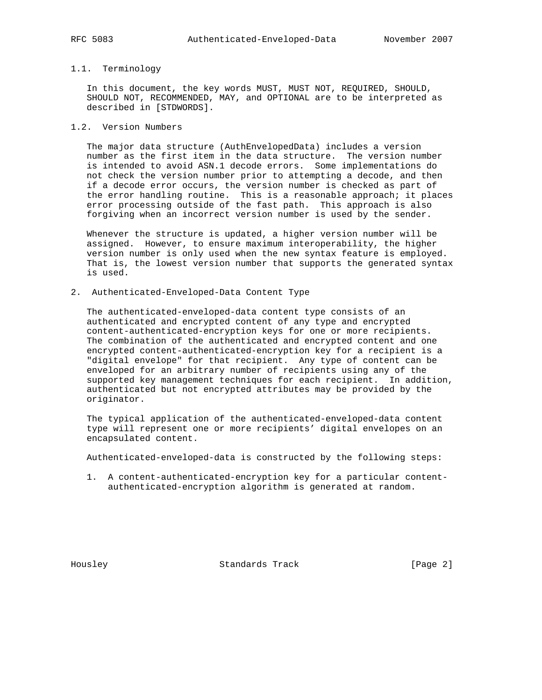### 1.1. Terminology

 In this document, the key words MUST, MUST NOT, REQUIRED, SHOULD, SHOULD NOT, RECOMMENDED, MAY, and OPTIONAL are to be interpreted as described in [STDWORDS].

# 1.2. Version Numbers

 The major data structure (AuthEnvelopedData) includes a version number as the first item in the data structure. The version number is intended to avoid ASN.1 decode errors. Some implementations do not check the version number prior to attempting a decode, and then if a decode error occurs, the version number is checked as part of the error handling routine. This is a reasonable approach; it places error processing outside of the fast path. This approach is also forgiving when an incorrect version number is used by the sender.

 Whenever the structure is updated, a higher version number will be assigned. However, to ensure maximum interoperability, the higher version number is only used when the new syntax feature is employed. That is, the lowest version number that supports the generated syntax is used.

2. Authenticated-Enveloped-Data Content Type

 The authenticated-enveloped-data content type consists of an authenticated and encrypted content of any type and encrypted content-authenticated-encryption keys for one or more recipients. The combination of the authenticated and encrypted content and one encrypted content-authenticated-encryption key for a recipient is a "digital envelope" for that recipient. Any type of content can be enveloped for an arbitrary number of recipients using any of the supported key management techniques for each recipient. In addition, authenticated but not encrypted attributes may be provided by the originator.

 The typical application of the authenticated-enveloped-data content type will represent one or more recipients' digital envelopes on an encapsulated content.

Authenticated-enveloped-data is constructed by the following steps:

 1. A content-authenticated-encryption key for a particular content authenticated-encryption algorithm is generated at random.

Housley Standards Track [Page 2]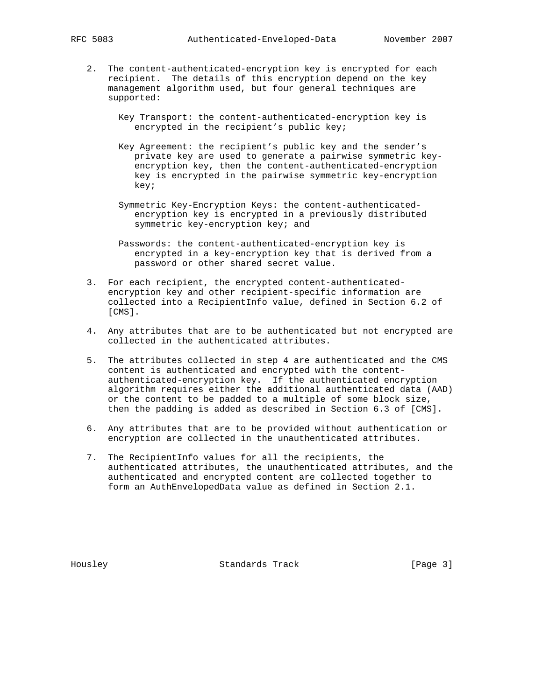- 2. The content-authenticated-encryption key is encrypted for each recipient. The details of this encryption depend on the key management algorithm used, but four general techniques are supported:
	- Key Transport: the content-authenticated-encryption key is encrypted in the recipient's public key;
	- Key Agreement: the recipient's public key and the sender's private key are used to generate a pairwise symmetric key encryption key, then the content-authenticated-encryption key is encrypted in the pairwise symmetric key-encryption key;
	- Symmetric Key-Encryption Keys: the content-authenticated encryption key is encrypted in a previously distributed symmetric key-encryption key; and
	- Passwords: the content-authenticated-encryption key is encrypted in a key-encryption key that is derived from a password or other shared secret value.
- 3. For each recipient, the encrypted content-authenticated encryption key and other recipient-specific information are collected into a RecipientInfo value, defined in Section 6.2 of [CMS].
- 4. Any attributes that are to be authenticated but not encrypted are collected in the authenticated attributes.
- 5. The attributes collected in step 4 are authenticated and the CMS content is authenticated and encrypted with the content authenticated-encryption key. If the authenticated encryption algorithm requires either the additional authenticated data (AAD) or the content to be padded to a multiple of some block size, then the padding is added as described in Section 6.3 of [CMS].
- 6. Any attributes that are to be provided without authentication or encryption are collected in the unauthenticated attributes.
- 7. The RecipientInfo values for all the recipients, the authenticated attributes, the unauthenticated attributes, and the authenticated and encrypted content are collected together to form an AuthEnvelopedData value as defined in Section 2.1.

Housley Standards Track [Page 3]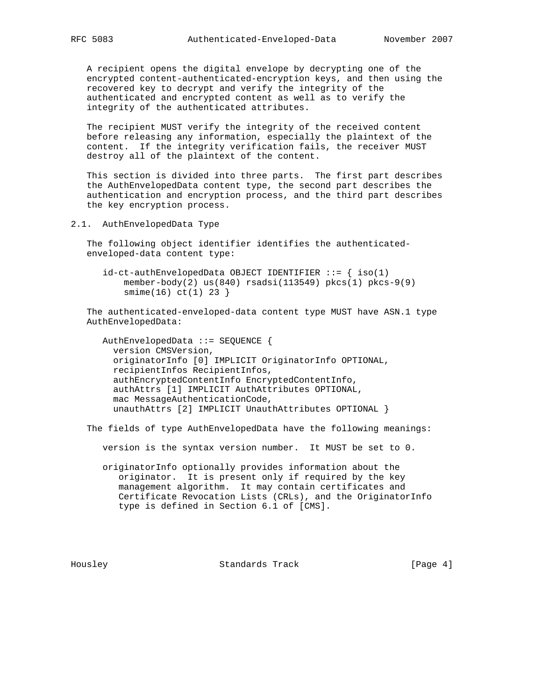A recipient opens the digital envelope by decrypting one of the encrypted content-authenticated-encryption keys, and then using the recovered key to decrypt and verify the integrity of the authenticated and encrypted content as well as to verify the integrity of the authenticated attributes.

 The recipient MUST verify the integrity of the received content before releasing any information, especially the plaintext of the content. If the integrity verification fails, the receiver MUST destroy all of the plaintext of the content.

 This section is divided into three parts. The first part describes the AuthEnvelopedData content type, the second part describes the authentication and encryption process, and the third part describes the key encryption process.

2.1. AuthEnvelopedData Type

 The following object identifier identifies the authenticated enveloped-data content type:

 $id-ct-authEnvelopedData OBJECT IDENTIFYER ::= { iso(1)}$ member-body(2)  $us(840)$  rsadsi(113549) pkcs(1) pkcs-9(9) smime(16) ct(1) 23 }

 The authenticated-enveloped-data content type MUST have ASN.1 type AuthEnvelopedData:

 AuthEnvelopedData ::= SEQUENCE { version CMSVersion, originatorInfo [0] IMPLICIT OriginatorInfo OPTIONAL, recipientInfos RecipientInfos, authEncryptedContentInfo EncryptedContentInfo, authAttrs [1] IMPLICIT AuthAttributes OPTIONAL, mac MessageAuthenticationCode, unauthAttrs [2] IMPLICIT UnauthAttributes OPTIONAL }

The fields of type AuthEnvelopedData have the following meanings:

version is the syntax version number. It MUST be set to 0.

 originatorInfo optionally provides information about the originator. It is present only if required by the key management algorithm. It may contain certificates and Certificate Revocation Lists (CRLs), and the OriginatorInfo type is defined in Section 6.1 of [CMS].

Housley Standards Track [Page 4]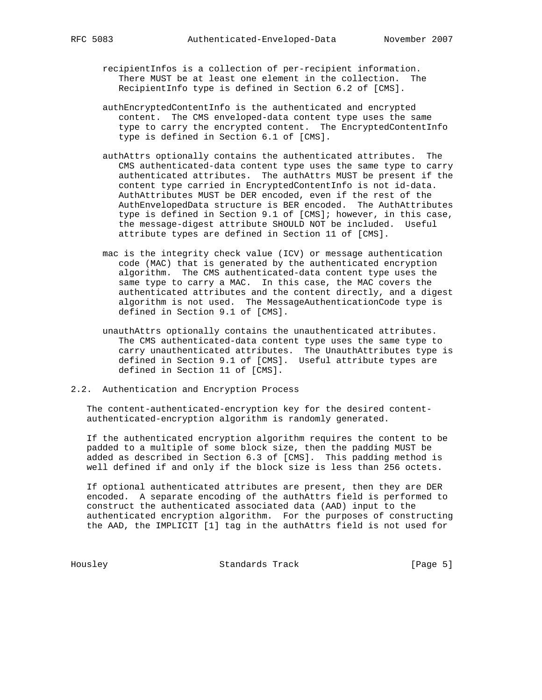- recipientInfos is a collection of per-recipient information. There MUST be at least one element in the collection. The RecipientInfo type is defined in Section 6.2 of [CMS].
- authEncryptedContentInfo is the authenticated and encrypted content. The CMS enveloped-data content type uses the same type to carry the encrypted content. The EncryptedContentInfo type is defined in Section 6.1 of [CMS].
- authAttrs optionally contains the authenticated attributes. The CMS authenticated-data content type uses the same type to carry authenticated attributes. The authAttrs MUST be present if the content type carried in EncryptedContentInfo is not id-data. AuthAttributes MUST be DER encoded, even if the rest of the AuthEnvelopedData structure is BER encoded. The AuthAttributes type is defined in Section 9.1 of [CMS]; however, in this case, the message-digest attribute SHOULD NOT be included. Useful attribute types are defined in Section 11 of [CMS].
- mac is the integrity check value (ICV) or message authentication code (MAC) that is generated by the authenticated encryption algorithm. The CMS authenticated-data content type uses the same type to carry a MAC. In this case, the MAC covers the authenticated attributes and the content directly, and a digest algorithm is not used. The MessageAuthenticationCode type is defined in Section 9.1 of [CMS].
- unauthAttrs optionally contains the unauthenticated attributes. The CMS authenticated-data content type uses the same type to carry unauthenticated attributes. The UnauthAttributes type is defined in Section 9.1 of [CMS]. Useful attribute types are defined in Section 11 of [CMS].
- 2.2. Authentication and Encryption Process

 The content-authenticated-encryption key for the desired content authenticated-encryption algorithm is randomly generated.

 If the authenticated encryption algorithm requires the content to be padded to a multiple of some block size, then the padding MUST be added as described in Section 6.3 of [CMS]. This padding method is well defined if and only if the block size is less than 256 octets.

 If optional authenticated attributes are present, then they are DER encoded. A separate encoding of the authAttrs field is performed to construct the authenticated associated data (AAD) input to the authenticated encryption algorithm. For the purposes of constructing the AAD, the IMPLICIT [1] tag in the authAttrs field is not used for

Housley Standards Track [Page 5]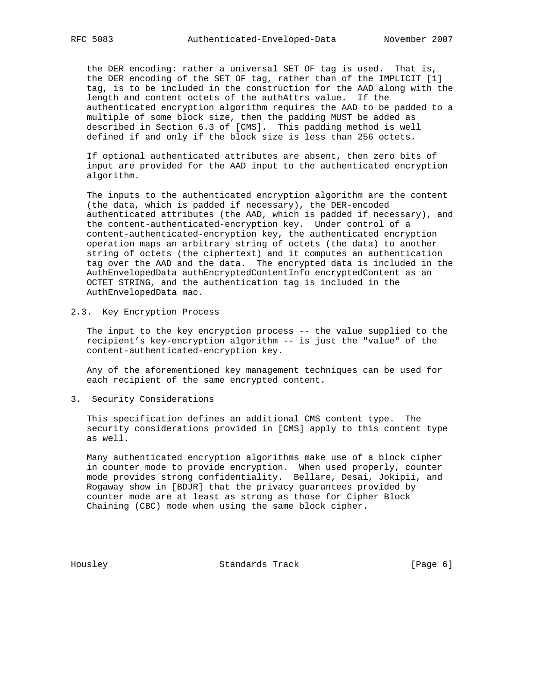the DER encoding: rather a universal SET OF tag is used. That is, the DER encoding of the SET OF tag, rather than of the IMPLICIT [1] tag, is to be included in the construction for the AAD along with the length and content octets of the authAttrs value. If the authenticated encryption algorithm requires the AAD to be padded to a multiple of some block size, then the padding MUST be added as described in Section 6.3 of [CMS]. This padding method is well defined if and only if the block size is less than 256 octets.

 If optional authenticated attributes are absent, then zero bits of input are provided for the AAD input to the authenticated encryption algorithm.

 The inputs to the authenticated encryption algorithm are the content (the data, which is padded if necessary), the DER-encoded authenticated attributes (the AAD, which is padded if necessary), and the content-authenticated-encryption key. Under control of a content-authenticated-encryption key, the authenticated encryption operation maps an arbitrary string of octets (the data) to another string of octets (the ciphertext) and it computes an authentication tag over the AAD and the data. The encrypted data is included in the AuthEnvelopedData authEncryptedContentInfo encryptedContent as an OCTET STRING, and the authentication tag is included in the AuthEnvelopedData mac.

2.3. Key Encryption Process

 The input to the key encryption process -- the value supplied to the recipient's key-encryption algorithm -- is just the "value" of the content-authenticated-encryption key.

 Any of the aforementioned key management techniques can be used for each recipient of the same encrypted content.

3. Security Considerations

 This specification defines an additional CMS content type. The security considerations provided in [CMS] apply to this content type as well.

 Many authenticated encryption algorithms make use of a block cipher in counter mode to provide encryption. When used properly, counter mode provides strong confidentiality. Bellare, Desai, Jokipii, and Rogaway show in [BDJR] that the privacy guarantees provided by counter mode are at least as strong as those for Cipher Block Chaining (CBC) mode when using the same block cipher.

Housley Standards Track [Page 6]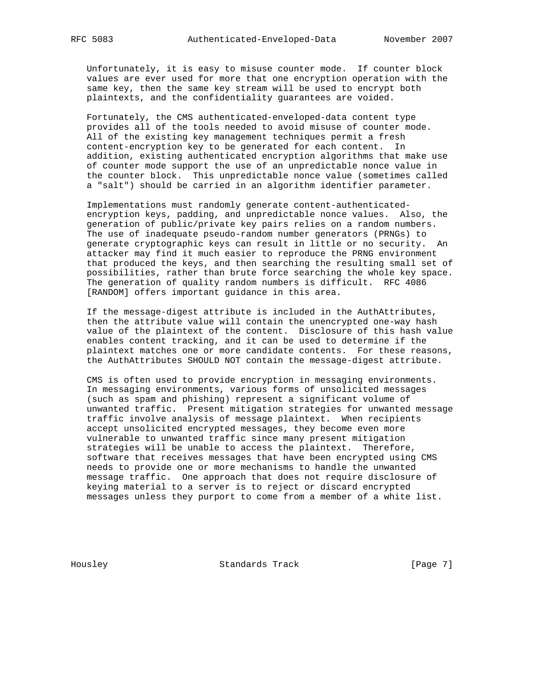Unfortunately, it is easy to misuse counter mode. If counter block values are ever used for more that one encryption operation with the same key, then the same key stream will be used to encrypt both plaintexts, and the confidentiality guarantees are voided.

 Fortunately, the CMS authenticated-enveloped-data content type provides all of the tools needed to avoid misuse of counter mode. All of the existing key management techniques permit a fresh content-encryption key to be generated for each content. In addition, existing authenticated encryption algorithms that make use of counter mode support the use of an unpredictable nonce value in the counter block. This unpredictable nonce value (sometimes called a "salt") should be carried in an algorithm identifier parameter.

 Implementations must randomly generate content-authenticated encryption keys, padding, and unpredictable nonce values. Also, the generation of public/private key pairs relies on a random numbers. The use of inadequate pseudo-random number generators (PRNGs) to generate cryptographic keys can result in little or no security. An attacker may find it much easier to reproduce the PRNG environment that produced the keys, and then searching the resulting small set of possibilities, rather than brute force searching the whole key space. The generation of quality random numbers is difficult. RFC 4086 [RANDOM] offers important guidance in this area.

 If the message-digest attribute is included in the AuthAttributes, then the attribute value will contain the unencrypted one-way hash value of the plaintext of the content. Disclosure of this hash value enables content tracking, and it can be used to determine if the plaintext matches one or more candidate contents. For these reasons, the AuthAttributes SHOULD NOT contain the message-digest attribute.

 CMS is often used to provide encryption in messaging environments. In messaging environments, various forms of unsolicited messages (such as spam and phishing) represent a significant volume of unwanted traffic. Present mitigation strategies for unwanted message traffic involve analysis of message plaintext. When recipients accept unsolicited encrypted messages, they become even more vulnerable to unwanted traffic since many present mitigation strategies will be unable to access the plaintext. Therefore, software that receives messages that have been encrypted using CMS needs to provide one or more mechanisms to handle the unwanted message traffic. One approach that does not require disclosure of keying material to a server is to reject or discard encrypted messages unless they purport to come from a member of a white list.

Housley Standards Track [Page 7]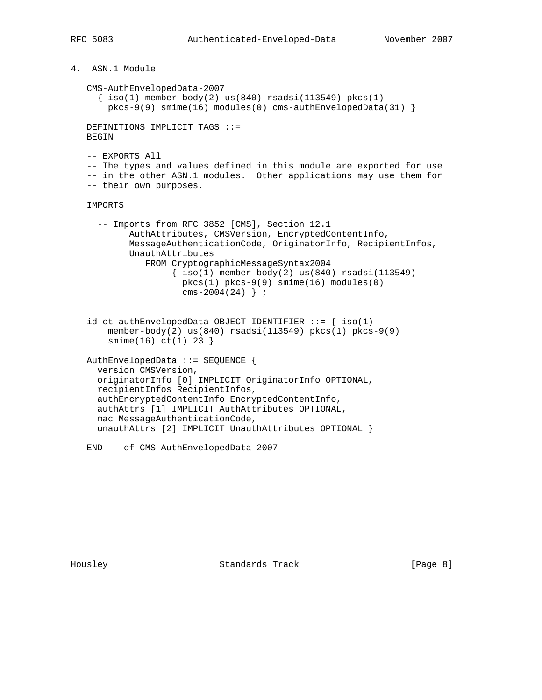```
4. ASN.1 Module
 CMS-AuthEnvelopedData-2007
  \{ iso(1) member-body(2) us(840) rsadsi(113549) pkcs(1)
     pkcs-9(9) smime(16) modules(0) cms-authEnvelopedData(31) }
DEFINITIONS IMPLICIT TAGS ::=
BEGIN
 -- EXPORTS All
 -- The types and values defined in this module are exported for use
 -- in the other ASN.1 modules. Other applications may use them for
 -- their own purposes.
 IMPORTS
   -- Imports from RFC 3852 [CMS], Section 12.1
         AuthAttributes, CMSVersion, EncryptedContentInfo,
         MessageAuthenticationCode, OriginatorInfo, RecipientInfos,
         UnauthAttributes
            FROM CryptographicMessageSyntax2004
                \{ iso(1) member-body(2) us(840) rsadsi(113549) pkcs(1) pkcs-9(9) smime(16) modules(0)
                  cms-2004(24) } \mathbf{i}id-ct-authEnvelopedData OBJECT IDENTIFYER ::= { iso(1)} member-body(2) us(840) rsadsi(113549) pkcs(1) pkcs-9(9)
     smime(16) ct(1) 23 }
AuthEnvelopedData ::= SEQUENCE {
  version CMSVersion,
   originatorInfo [0] IMPLICIT OriginatorInfo OPTIONAL,
  recipientInfos RecipientInfos,
   authEncryptedContentInfo EncryptedContentInfo,
   authAttrs [1] IMPLICIT AuthAttributes OPTIONAL,
  mac MessageAuthenticationCode,
   unauthAttrs [2] IMPLICIT UnauthAttributes OPTIONAL }
END -- of CMS-AuthEnvelopedData-2007
```
Housley **Standards Track** [Page 8]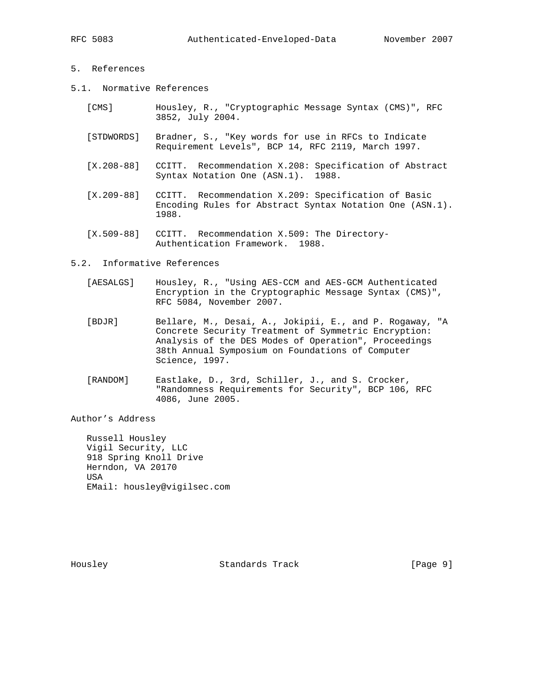# 5. References

- 5.1. Normative References
	- [CMS] Housley, R., "Cryptographic Message Syntax (CMS)", RFC 3852, July 2004.
	- [STDWORDS] Bradner, S., "Key words for use in RFCs to Indicate Requirement Levels", BCP 14, RFC 2119, March 1997.
	- [X.208-88] CCITT. Recommendation X.208: Specification of Abstract Syntax Notation One (ASN.1). 1988.
	- [X.209-88] CCITT. Recommendation X.209: Specification of Basic Encoding Rules for Abstract Syntax Notation One (ASN.1). 1988.
	- [X.509-88] CCITT. Recommendation X.509: The Directory- Authentication Framework. 1988.

### 5.2. Informative References

- [AESALGS] Housley, R., "Using AES-CCM and AES-GCM Authenticated Encryption in the Cryptographic Message Syntax (CMS)", RFC 5084, November 2007.
- [BDJR] Bellare, M., Desai, A., Jokipii, E., and P. Rogaway, "A Concrete Security Treatment of Symmetric Encryption: Analysis of the DES Modes of Operation", Proceedings 38th Annual Symposium on Foundations of Computer Science, 1997.
- [RANDOM] Eastlake, D., 3rd, Schiller, J., and S. Crocker, "Randomness Requirements for Security", BCP 106, RFC 4086, June 2005.

Author's Address

 Russell Housley Vigil Security, LLC 918 Spring Knoll Drive Herndon, VA 20170 USA EMail: housley@vigilsec.com

Housley **Standards Track** [Page 9]